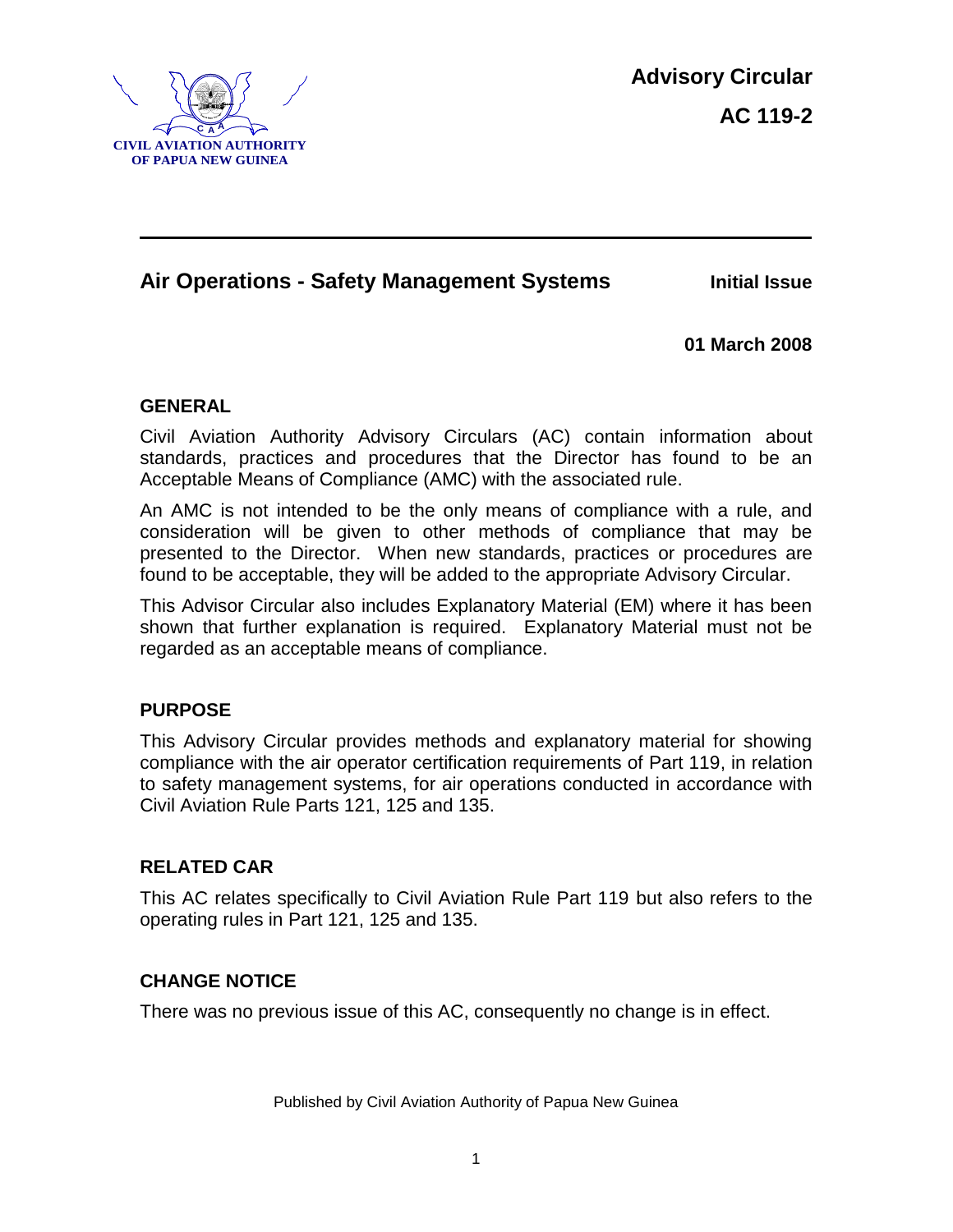

## **Air Operations - Safety Management Systems Initial Issue**

**01 March 2008**

#### **GENERAL**

Civil Aviation Authority Advisory Circulars (AC) contain information about standards, practices and procedures that the Director has found to be an Acceptable Means of Compliance (AMC) with the associated rule.

An AMC is not intended to be the only means of compliance with a rule, and consideration will be given to other methods of compliance that may be presented to the Director. When new standards, practices or procedures are found to be acceptable, they will be added to the appropriate Advisory Circular.

This Advisor Circular also includes Explanatory Material (EM) where it has been shown that further explanation is required. Explanatory Material must not be regarded as an acceptable means of compliance.

### **PURPOSE**

This Advisory Circular provides methods and explanatory material for showing compliance with the air operator certification requirements of Part 119, in relation to safety management systems, for air operations conducted in accordance with Civil Aviation Rule Parts 121, 125 and 135.

### **RELATED CAR**

This AC relates specifically to Civil Aviation Rule Part 119 but also refers to the operating rules in Part 121, 125 and 135.

### **CHANGE NOTICE**

There was no previous issue of this AC, consequently no change is in effect.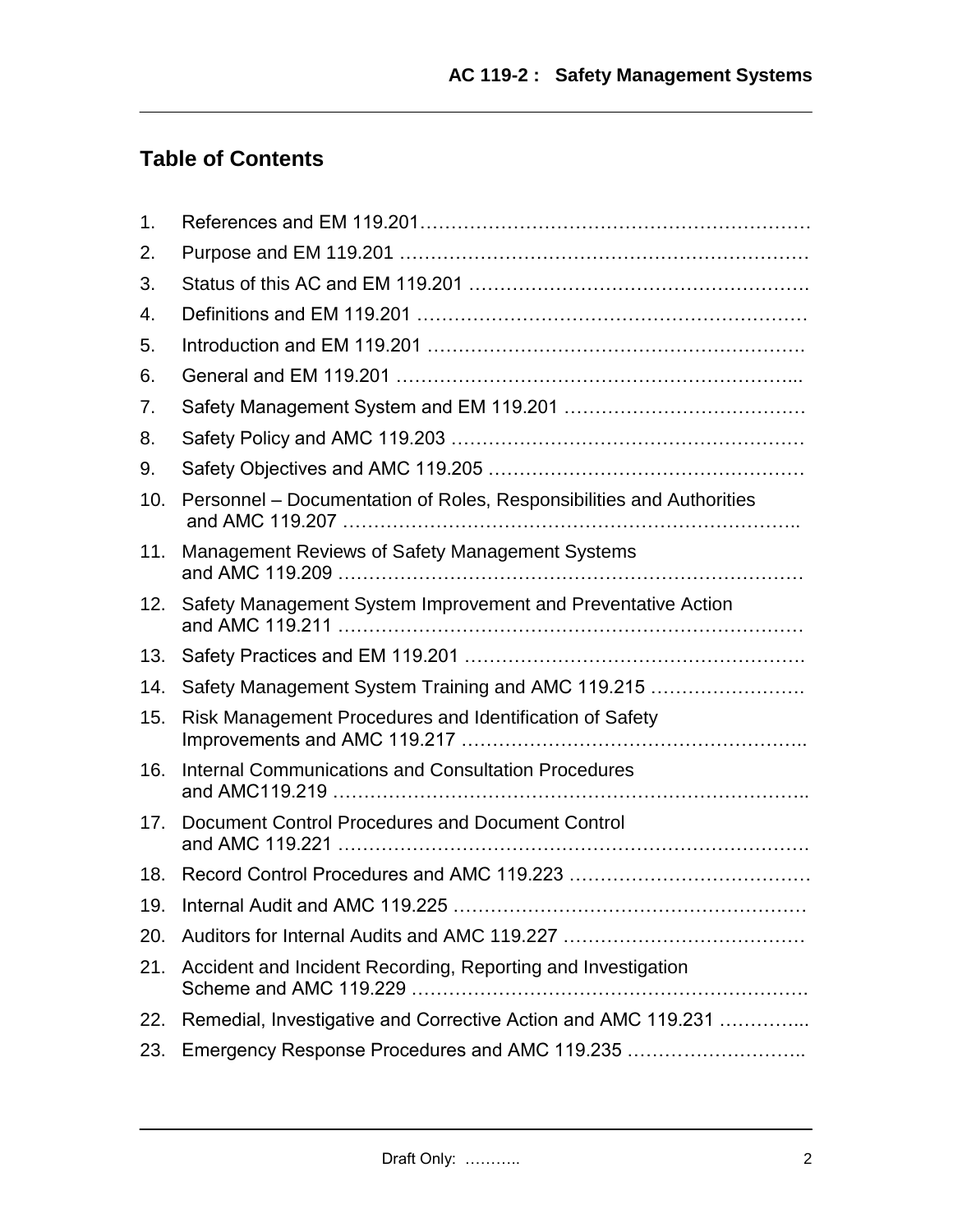# **Table of Contents**

| 1.  |                                                                      |
|-----|----------------------------------------------------------------------|
| 2.  |                                                                      |
| 3.  |                                                                      |
| 4.  |                                                                      |
| 5.  |                                                                      |
| 6.  |                                                                      |
| 7.  |                                                                      |
| 8.  |                                                                      |
| 9.  |                                                                      |
| 10. | Personnel – Documentation of Roles, Responsibilities and Authorities |
| 11. | Management Reviews of Safety Management Systems                      |
| 12. | Safety Management System Improvement and Preventative Action         |
| 13. |                                                                      |
| 14. | Safety Management System Training and AMC 119.215                    |
| 15. | Risk Management Procedures and Identification of Safety              |
| 16. | <b>Internal Communications and Consultation Procedures</b>           |
| 17. | Document Control Procedures and Document Control                     |
| 18. |                                                                      |
| 19. | Internal Audit and AMC 119.225                                       |
| 20. |                                                                      |
| 21. | Accident and Incident Recording, Reporting and Investigation         |
| 22. | Remedial, Investigative and Corrective Action and AMC 119.231        |
| 23. |                                                                      |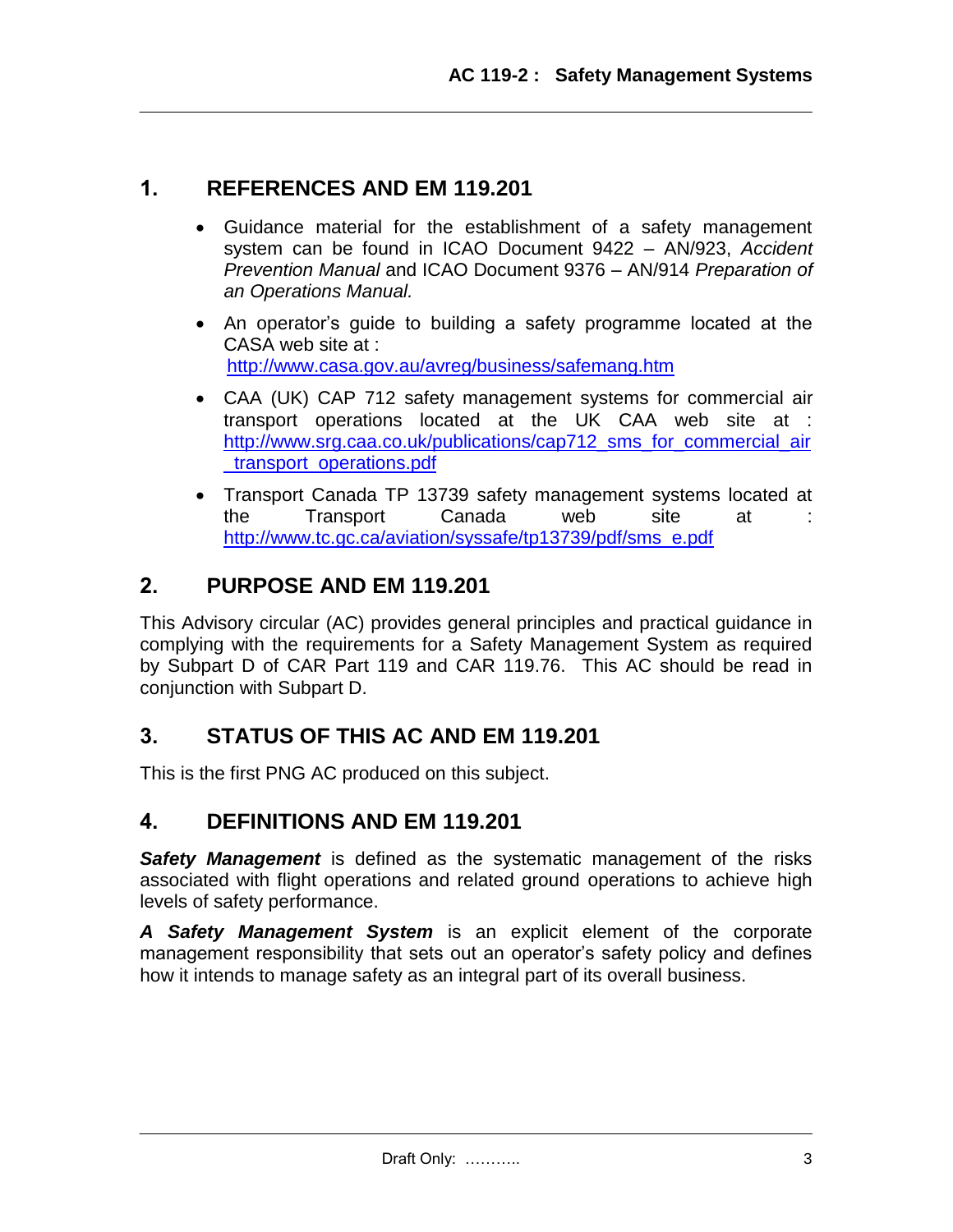### **1. REFERENCES AND EM 119.201**

- Guidance material for the establishment of a safety management system can be found in ICAO Document 9422 – AN/923, *Accident Prevention Manual* and ICAO Document 9376 – AN/914 *Preparation of an Operations Manual.*
- An operator's guide to building a safety programme located at the CASA web site at : <http://www.casa.gov.au/avreg/business/safemang.htm>
- CAA (UK) CAP 712 safety management systems for commercial air transport operations located at the UK CAA web site at : [http://www.srg.caa.co.uk/publications/cap712\\_sms\\_for\\_commercial\\_air](http://www.srg.caa.co.uk/publications/cap712_sms_for_commercial_air_transport_operations.pdf) [\\_transport\\_operations.pdf](http://www.srg.caa.co.uk/publications/cap712_sms_for_commercial_air_transport_operations.pdf)
- Transport Canada TP 13739 safety management systems located at the Transport Canada web site at [http://www.tc.gc.ca/aviation/syssafe/tp13739/pdf/sms\\_e.pdf](http://www.tc.gc.ca/aviation/syssafe/tp13739/pdf/sms_e.pdf)

## **2. PURPOSE AND EM 119.201**

This Advisory circular (AC) provides general principles and practical guidance in complying with the requirements for a Safety Management System as required by Subpart D of CAR Part 119 and CAR 119.76. This AC should be read in conjunction with Subpart D.

## **3. STATUS OF THIS AC AND EM 119.201**

This is the first PNG AC produced on this subject.

## **4. DEFINITIONS AND EM 119.201**

**Safety Management** is defined as the systematic management of the risks associated with flight operations and related ground operations to achieve high levels of safety performance.

*A Safety Management System* is an explicit element of the corporate management responsibility that sets out an operator's safety policy and defines how it intends to manage safety as an integral part of its overall business.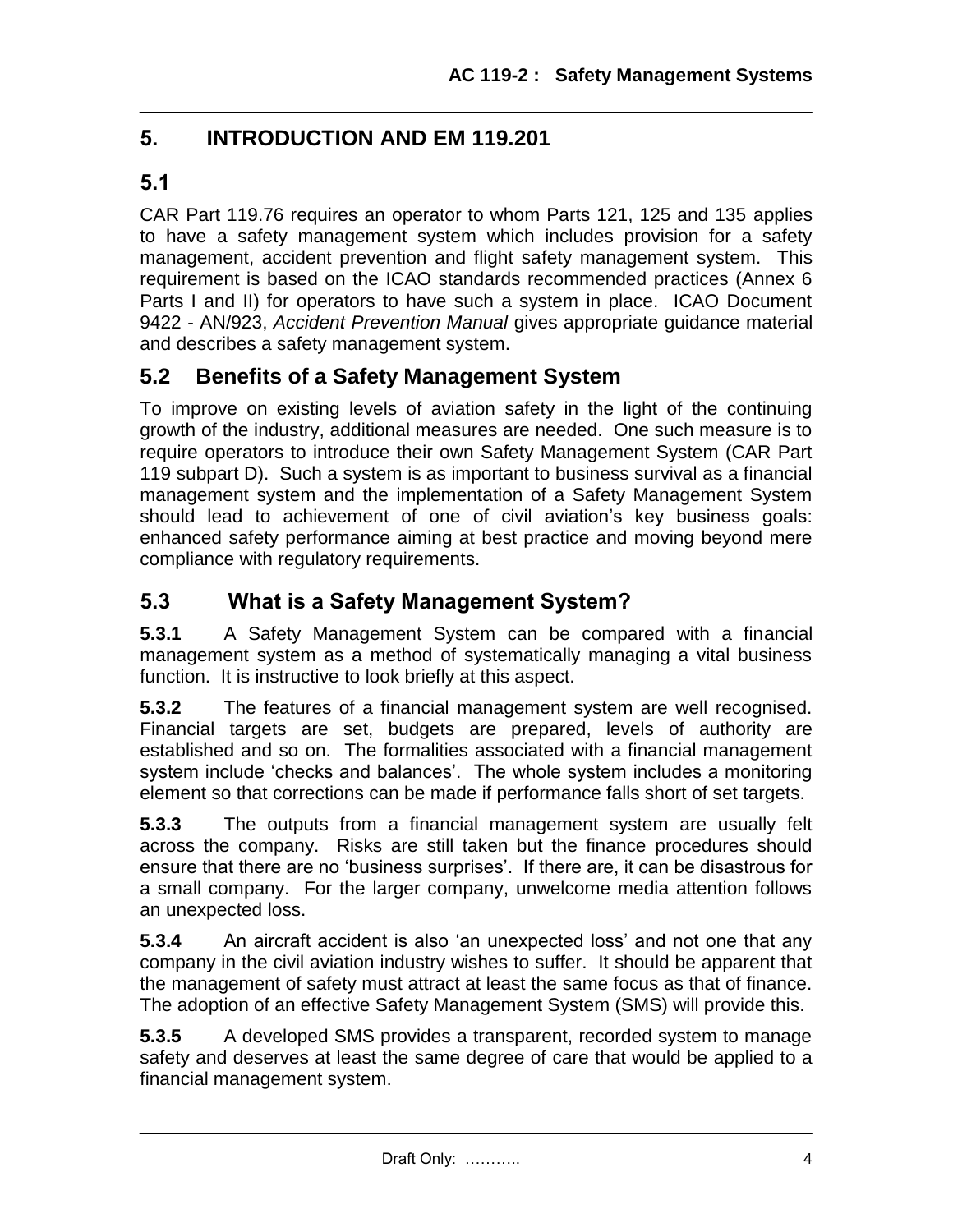# **5. INTRODUCTION AND EM 119.201**

# **5.1**

CAR Part 119.76 requires an operator to whom Parts 121, 125 and 135 applies to have a safety management system which includes provision for a safety management, accident prevention and flight safety management system. This requirement is based on the ICAO standards recommended practices (Annex 6 Parts I and II) for operators to have such a system in place. ICAO Document 9422 - AN/923, *Accident Prevention Manual* gives appropriate guidance material and describes a safety management system.

## **5.2 Benefits of a Safety Management System**

To improve on existing levels of aviation safety in the light of the continuing growth of the industry, additional measures are needed. One such measure is to require operators to introduce their own Safety Management System (CAR Part 119 subpart D). Such a system is as important to business survival as a financial management system and the implementation of a Safety Management System should lead to achievement of one of civil aviation's key business goals: enhanced safety performance aiming at best practice and moving beyond mere compliance with regulatory requirements.

# **5.3 What is a Safety Management System?**

**5.3.1** A Safety Management System can be compared with a financial management system as a method of systematically managing a vital business function. It is instructive to look briefly at this aspect.

**5.3.2** The features of a financial management system are well recognised. Financial targets are set, budgets are prepared, levels of authority are established and so on. The formalities associated with a financial management system include 'checks and balances'. The whole system includes a monitoring element so that corrections can be made if performance falls short of set targets.

**5.3.3** The outputs from a financial management system are usually felt across the company. Risks are still taken but the finance procedures should ensure that there are no 'business surprises'. If there are, it can be disastrous for a small company. For the larger company, unwelcome media attention follows an unexpected loss.

**5.3.4** An aircraft accident is also 'an unexpected loss' and not one that any company in the civil aviation industry wishes to suffer. It should be apparent that the management of safety must attract at least the same focus as that of finance. The adoption of an effective Safety Management System (SMS) will provide this.

**5.3.5** A developed SMS provides a transparent, recorded system to manage safety and deserves at least the same degree of care that would be applied to a financial management system.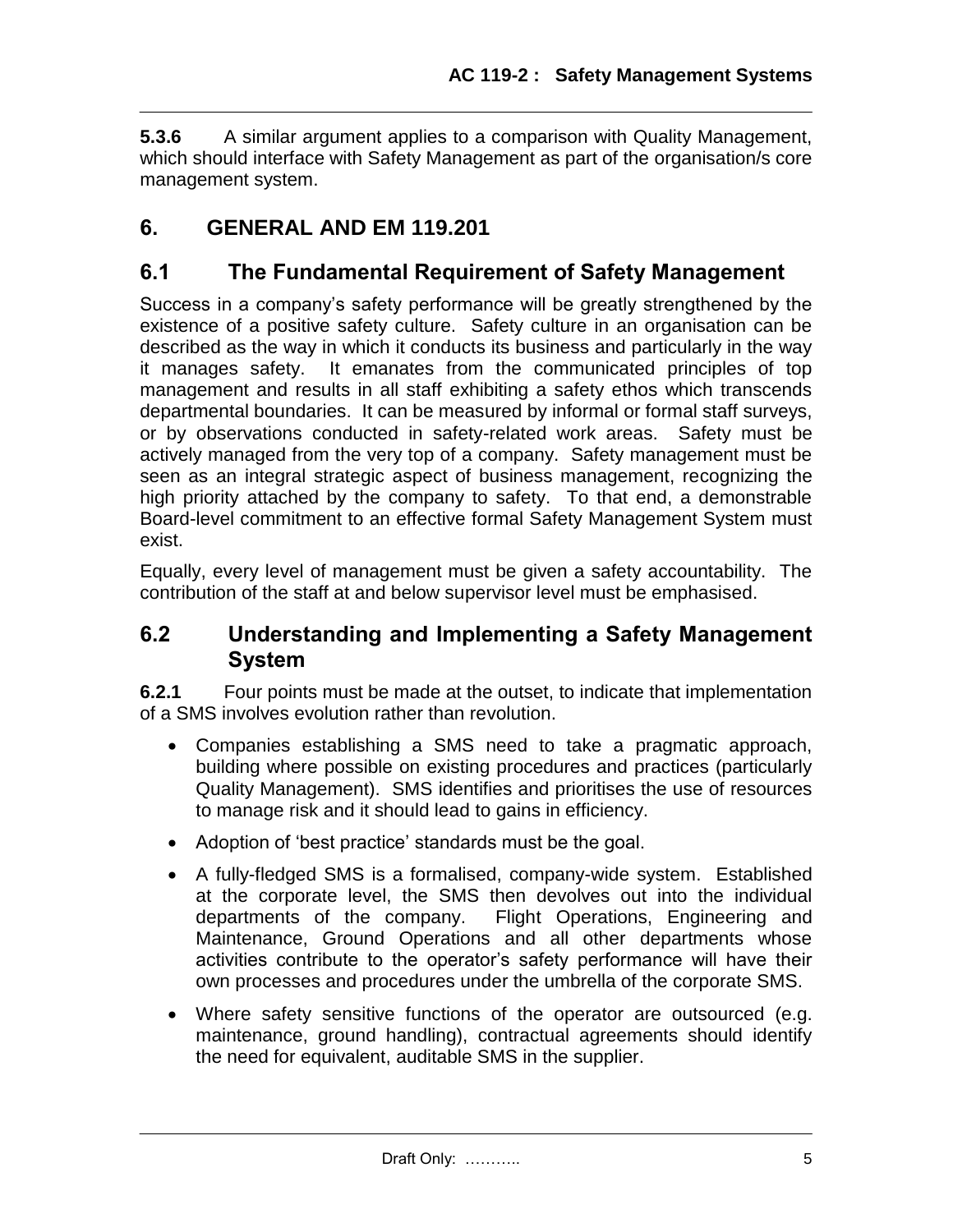**5.3.6** A similar argument applies to a comparison with Quality Management, which should interface with Safety Management as part of the organisation/s core management system.

# **6. GENERAL AND EM 119.201**

## **6.1 The Fundamental Requirement of Safety Management**

Success in a company's safety performance will be greatly strengthened by the existence of a positive safety culture. Safety culture in an organisation can be described as the way in which it conducts its business and particularly in the way it manages safety. It emanates from the communicated principles of top management and results in all staff exhibiting a safety ethos which transcends departmental boundaries. It can be measured by informal or formal staff surveys, or by observations conducted in safety-related work areas. Safety must be actively managed from the very top of a company. Safety management must be seen as an integral strategic aspect of business management, recognizing the high priority attached by the company to safety. To that end, a demonstrable Board-level commitment to an effective formal Safety Management System must exist.

Equally, every level of management must be given a safety accountability. The contribution of the staff at and below supervisor level must be emphasised.

## **6.2 Understanding and Implementing a Safety Management System**

**6.2.1** Four points must be made at the outset, to indicate that implementation of a SMS involves evolution rather than revolution.

- Companies establishing a SMS need to take a pragmatic approach, building where possible on existing procedures and practices (particularly Quality Management). SMS identifies and prioritises the use of resources to manage risk and it should lead to gains in efficiency.
- Adoption of 'best practice' standards must be the goal.
- A fully-fledged SMS is a formalised, company-wide system. Established at the corporate level, the SMS then devolves out into the individual departments of the company. Flight Operations, Engineering and Maintenance, Ground Operations and all other departments whose activities contribute to the operator's safety performance will have their own processes and procedures under the umbrella of the corporate SMS.
- Where safety sensitive functions of the operator are outsourced (e.g. maintenance, ground handling), contractual agreements should identify the need for equivalent, auditable SMS in the supplier.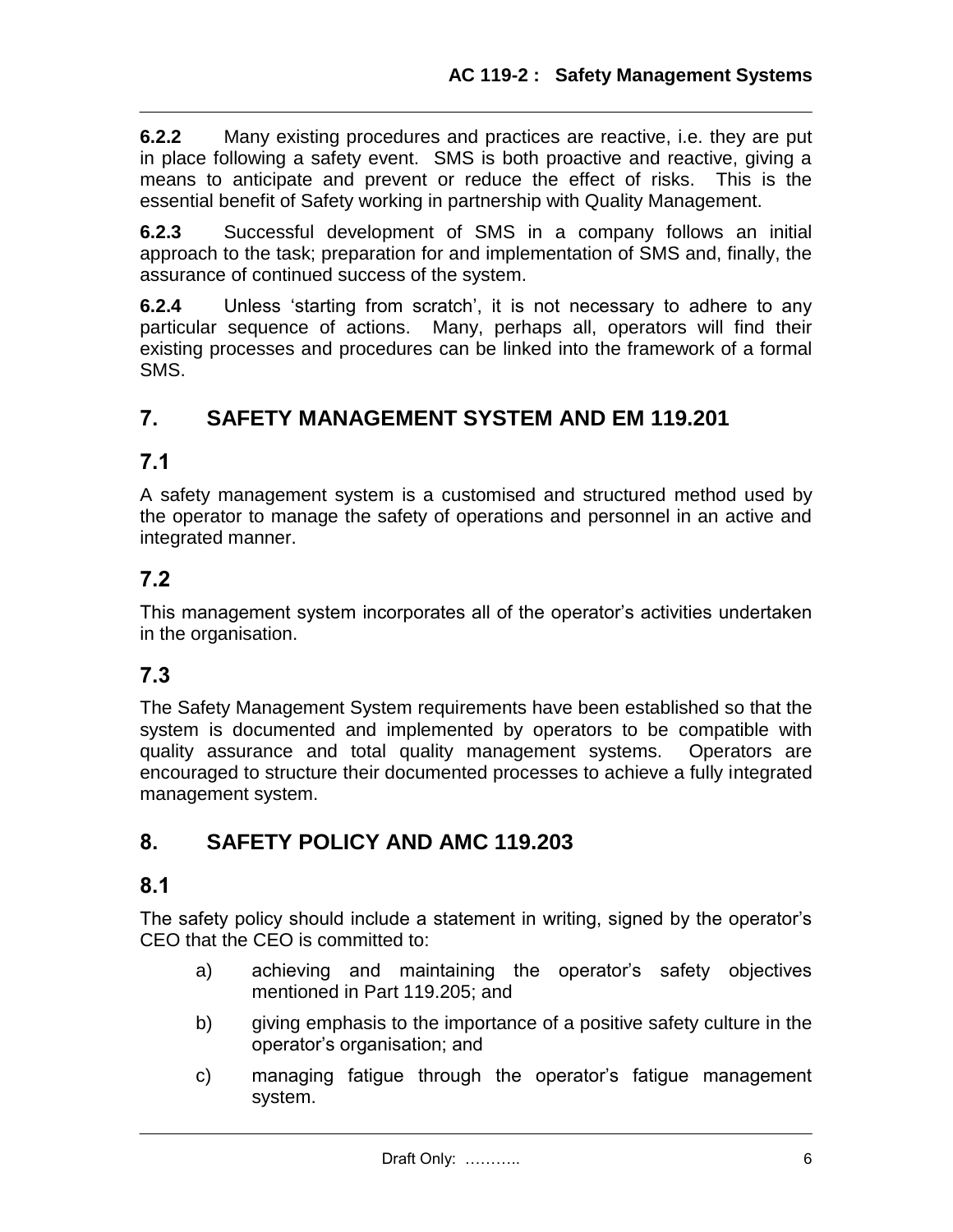**6.2.2** Many existing procedures and practices are reactive, i.e. they are put in place following a safety event. SMS is both proactive and reactive, giving a means to anticipate and prevent or reduce the effect of risks. This is the essential benefit of Safety working in partnership with Quality Management.

**6.2.3** Successful development of SMS in a company follows an initial approach to the task; preparation for and implementation of SMS and, finally, the assurance of continued success of the system.

**6.2.4** Unless 'starting from scratch', it is not necessary to adhere to any particular sequence of actions. Many, perhaps all, operators will find their existing processes and procedures can be linked into the framework of a formal SMS.

# **7. SAFETY MANAGEMENT SYSTEM AND EM 119.201**

### **7.1**

A safety management system is a customised and structured method used by the operator to manage the safety of operations and personnel in an active and integrated manner.

## **7.2**

This management system incorporates all of the operator's activities undertaken in the organisation.

## **7.3**

The Safety Management System requirements have been established so that the system is documented and implemented by operators to be compatible with quality assurance and total quality management systems. Operators are encouraged to structure their documented processes to achieve a fully integrated management system.

# **8. SAFETY POLICY AND AMC 119.203**

### **8.1**

The safety policy should include a statement in writing, signed by the operator's CEO that the CEO is committed to:

- a) achieving and maintaining the operator's safety objectives mentioned in Part 119.205; and
- b) giving emphasis to the importance of a positive safety culture in the operator's organisation; and
- c) managing fatigue through the operator's fatigue management system.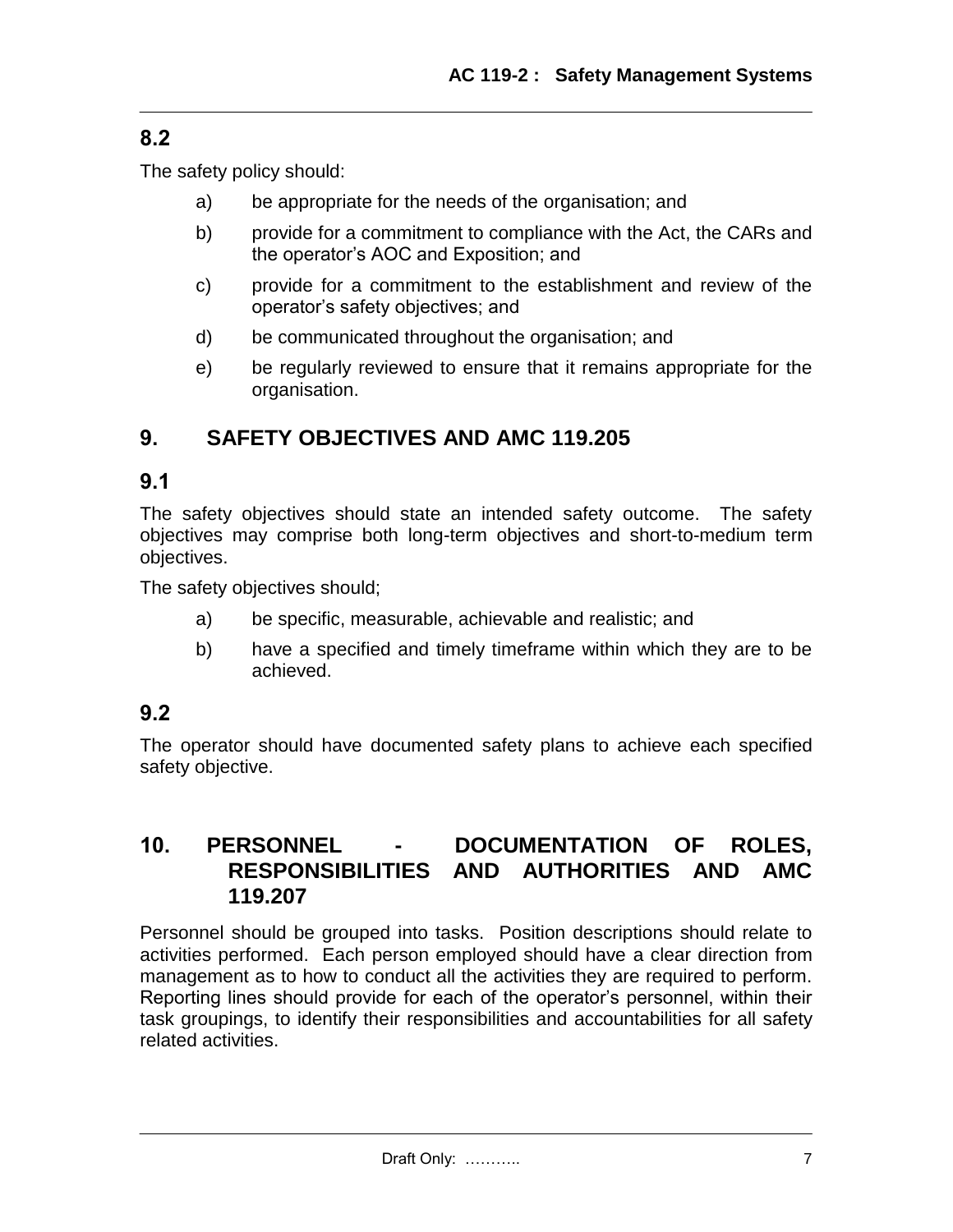# **8.2**

The safety policy should:

- a) be appropriate for the needs of the organisation; and
- b) provide for a commitment to compliance with the Act, the CARs and the operator's AOC and Exposition; and
- c) provide for a commitment to the establishment and review of the operator's safety objectives; and
- d) be communicated throughout the organisation; and
- e) be regularly reviewed to ensure that it remains appropriate for the organisation.

# **9. SAFETY OBJECTIVES AND AMC 119.205**

## **9.1**

The safety objectives should state an intended safety outcome. The safety objectives may comprise both long-term objectives and short-to-medium term objectives.

The safety objectives should;

- a) be specific, measurable, achievable and realistic; and
- b) have a specified and timely timeframe within which they are to be achieved.

# **9.2**

The operator should have documented safety plans to achieve each specified safety objective.

## **10. PERSONNEL - DOCUMENTATION OF ROLES, RESPONSIBILITIES AND AUTHORITIES AND AMC 119.207**

Personnel should be grouped into tasks. Position descriptions should relate to activities performed. Each person employed should have a clear direction from management as to how to conduct all the activities they are required to perform. Reporting lines should provide for each of the operator's personnel, within their task groupings, to identify their responsibilities and accountabilities for all safety related activities.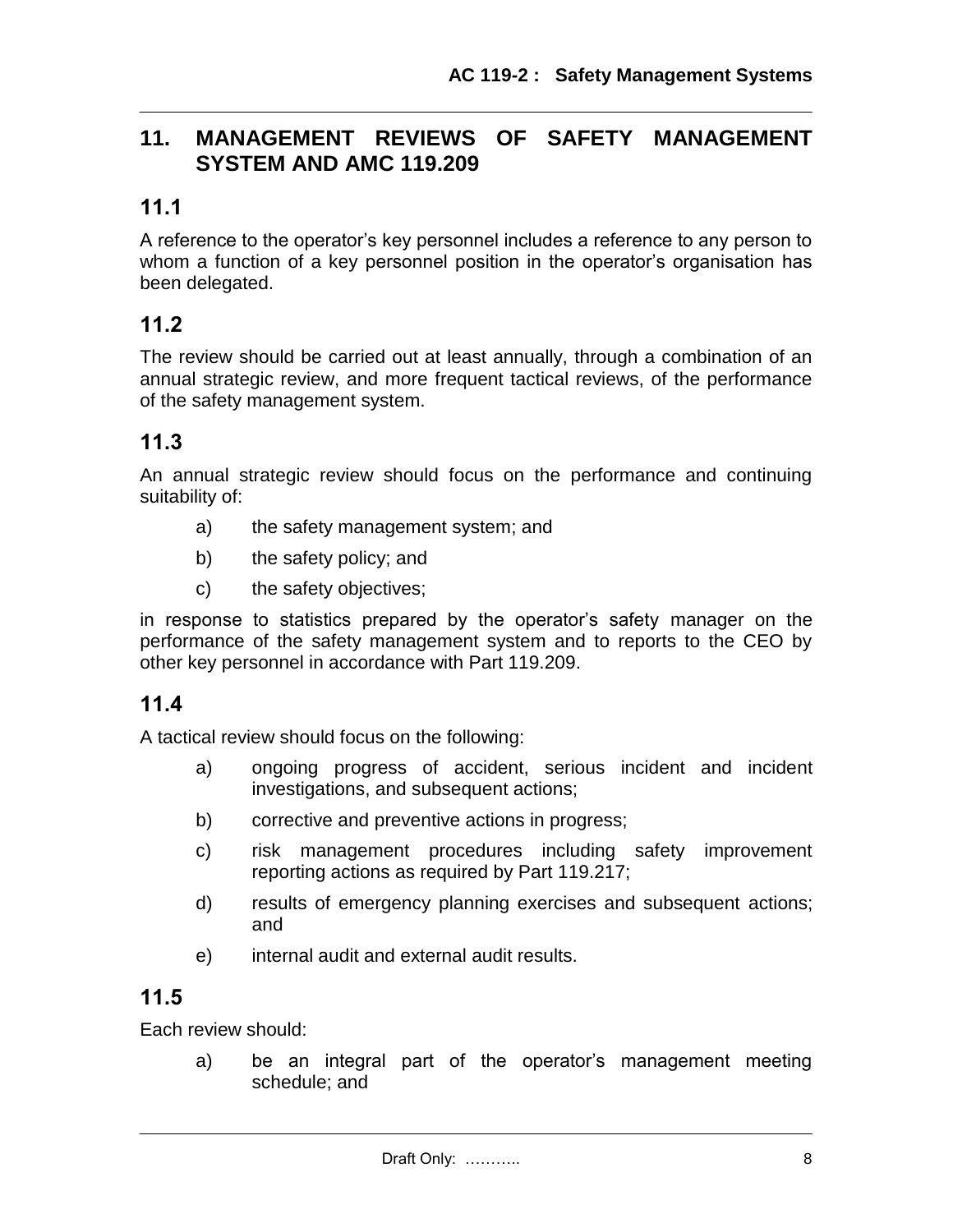## **11. MANAGEMENT REVIEWS OF SAFETY MANAGEMENT SYSTEM AND AMC 119.209**

## **11.1**

A reference to the operator's key personnel includes a reference to any person to whom a function of a key personnel position in the operator's organisation has been delegated.

### **11.2**

The review should be carried out at least annually, through a combination of an annual strategic review, and more frequent tactical reviews, of the performance of the safety management system.

### **11.3**

An annual strategic review should focus on the performance and continuing suitability of:

- a) the safety management system; and
- b) the safety policy; and
- c) the safety objectives;

in response to statistics prepared by the operator's safety manager on the performance of the safety management system and to reports to the CEO by other key personnel in accordance with Part 119.209.

### **11.4**

A tactical review should focus on the following:

- a) ongoing progress of accident, serious incident and incident investigations, and subsequent actions;
- b) corrective and preventive actions in progress;
- c) risk management procedures including safety improvement reporting actions as required by Part 119.217;
- d) results of emergency planning exercises and subsequent actions; and
- e) internal audit and external audit results.

### **11.5**

Each review should:

a) be an integral part of the operator's management meeting schedule; and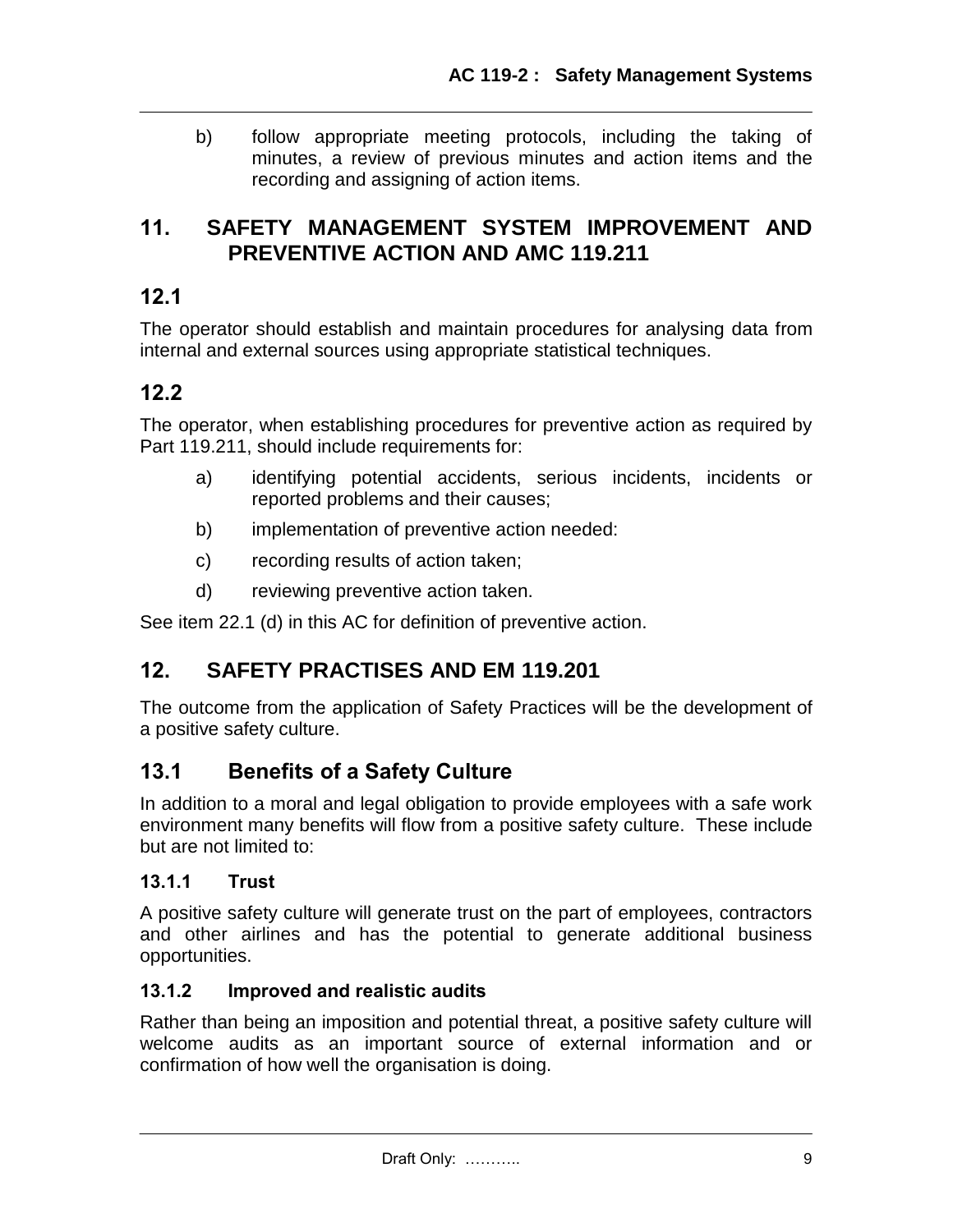b) follow appropriate meeting protocols, including the taking of minutes, a review of previous minutes and action items and the recording and assigning of action items.

### **11. SAFETY MANAGEMENT SYSTEM IMPROVEMENT AND PREVENTIVE ACTION AND AMC 119.211**

## **12.1**

The operator should establish and maintain procedures for analysing data from internal and external sources using appropriate statistical techniques.

## **12.2**

The operator, when establishing procedures for preventive action as required by Part 119.211, should include requirements for:

- a) identifying potential accidents, serious incidents, incidents or reported problems and their causes;
- b) implementation of preventive action needed:
- c) recording results of action taken;
- d) reviewing preventive action taken.

See item 22.1 (d) in this AC for definition of preventive action.

# **12. SAFETY PRACTISES AND EM 119.201**

The outcome from the application of Safety Practices will be the development of a positive safety culture.

# **13.1 Benefits of a Safety Culture**

In addition to a moral and legal obligation to provide employees with a safe work environment many benefits will flow from a positive safety culture. These include but are not limited to:

### **13.1.1 Trust**

A positive safety culture will generate trust on the part of employees, contractors and other airlines and has the potential to generate additional business opportunities.

### **13.1.2 Improved and realistic audits**

Rather than being an imposition and potential threat, a positive safety culture will welcome audits as an important source of external information and or confirmation of how well the organisation is doing.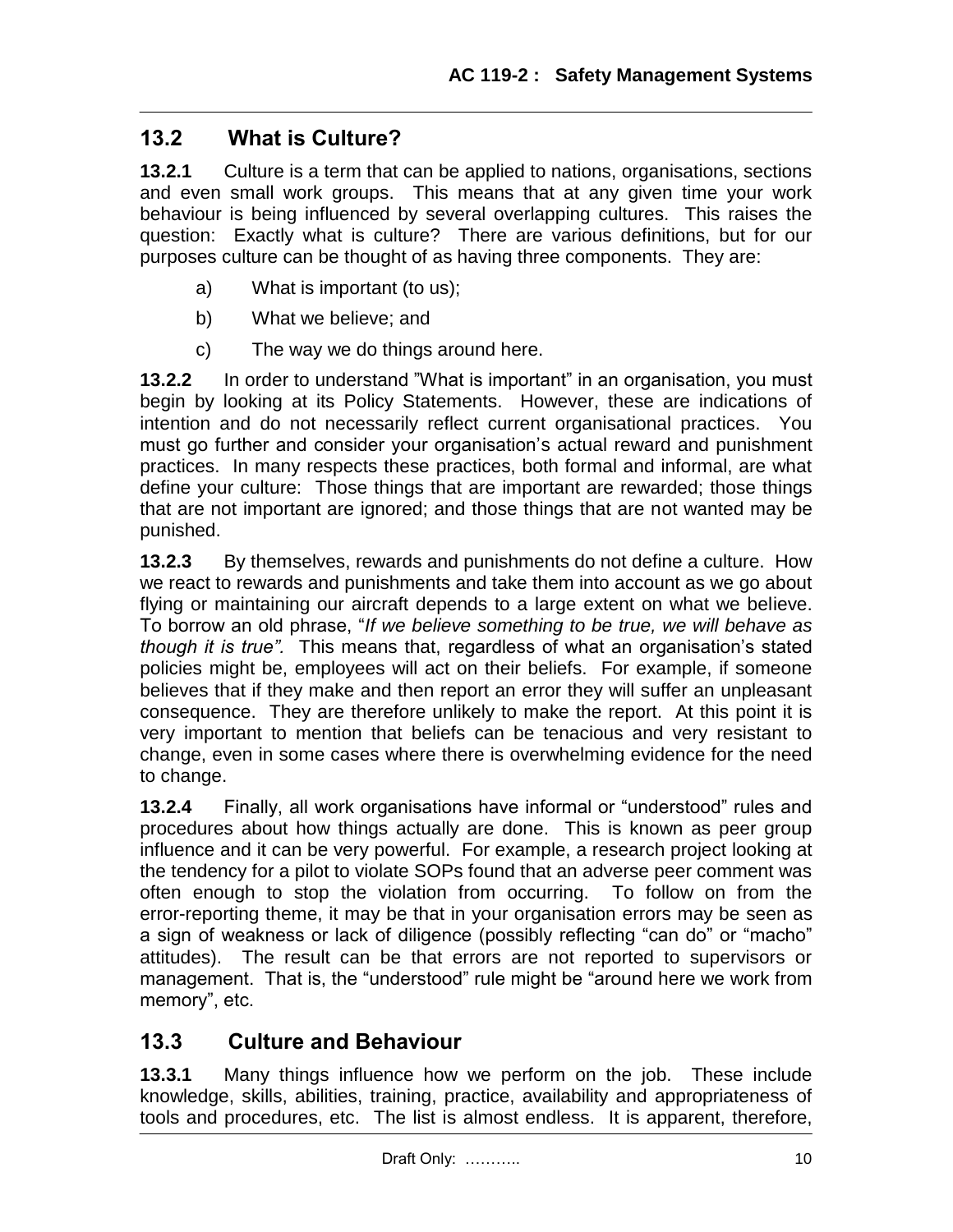## **13.2 What is Culture?**

**13.2.1** Culture is a term that can be applied to nations, organisations, sections and even small work groups. This means that at any given time your work behaviour is being influenced by several overlapping cultures. This raises the question: Exactly what is culture? There are various definitions, but for our purposes culture can be thought of as having three components. They are:

- a) What is important (to us);
- b) What we believe; and
- c) The way we do things around here.

**13.2.2** In order to understand "What is important" in an organisation, you must begin by looking at its Policy Statements. However, these are indications of intention and do not necessarily reflect current organisational practices. You must go further and consider your organisation's actual reward and punishment practices. In many respects these practices, both formal and informal, are what define your culture: Those things that are important are rewarded; those things that are not important are ignored; and those things that are not wanted may be punished.

**13.2.3** By themselves, rewards and punishments do not define a culture. How we react to rewards and punishments and take them into account as we go about flying or maintaining our aircraft depends to a large extent on what we believe. To borrow an old phrase, "*If we believe something to be true, we will behave as though it is true".* This means that, regardless of what an organisation's stated policies might be, employees will act on their beliefs. For example, if someone believes that if they make and then report an error they will suffer an unpleasant consequence. They are therefore unlikely to make the report. At this point it is very important to mention that beliefs can be tenacious and very resistant to change, even in some cases where there is overwhelming evidence for the need to change.

**13.2.4** Finally, all work organisations have informal or "understood" rules and procedures about how things actually are done. This is known as peer group influence and it can be very powerful. For example, a research project looking at the tendency for a pilot to violate SOPs found that an adverse peer comment was often enough to stop the violation from occurring. To follow on from the error-reporting theme, it may be that in your organisation errors may be seen as a sign of weakness or lack of diligence (possibly reflecting "can do" or "macho" attitudes). The result can be that errors are not reported to supervisors or management. That is, the "understood" rule might be "around here we work from memory", etc.

## **13.3 Culture and Behaviour**

**13.3.1** Many things influence how we perform on the job. These include knowledge, skills, abilities, training, practice, availability and appropriateness of tools and procedures, etc. The list is almost endless. It is apparent, therefore,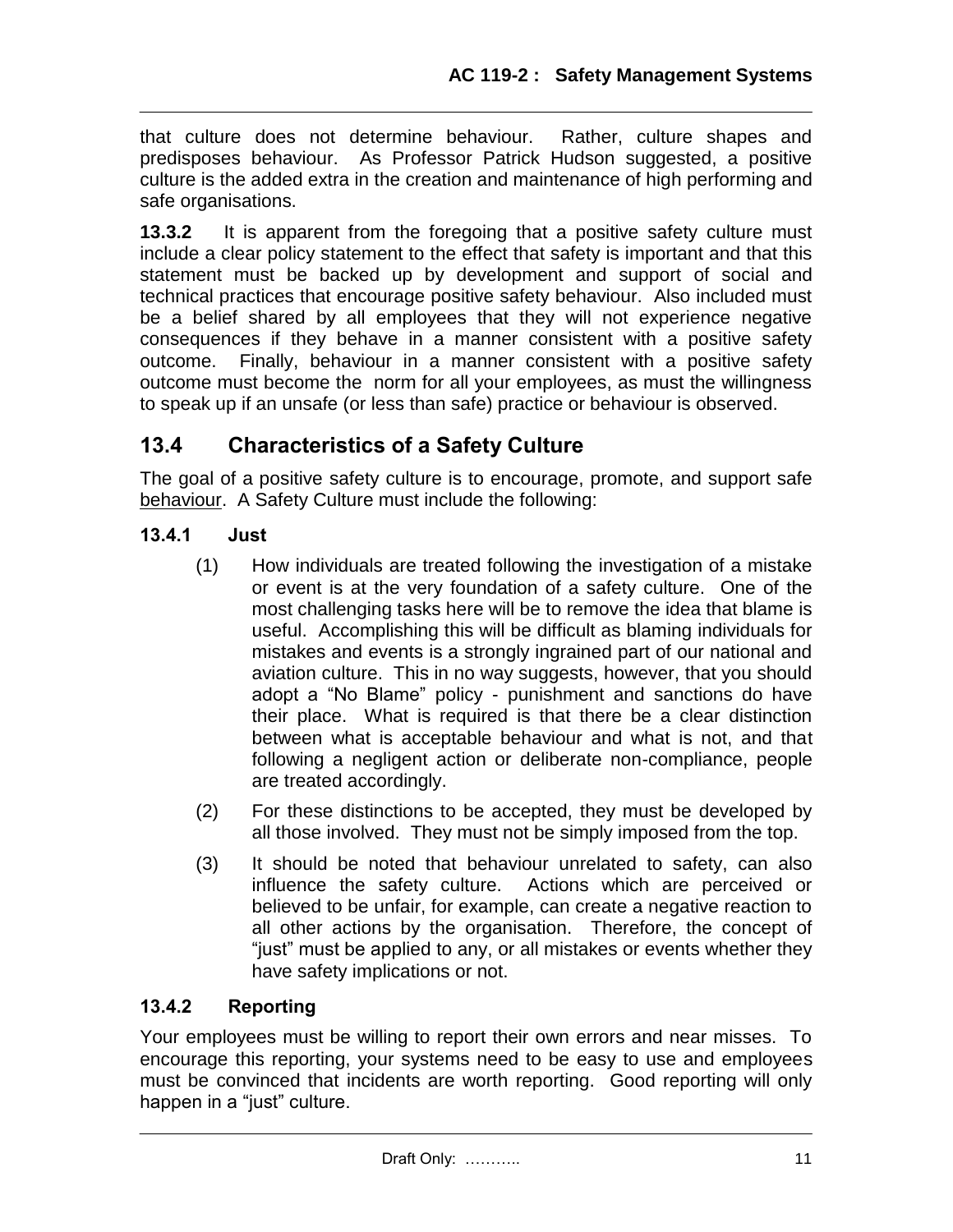that culture does not determine behaviour. Rather, culture shapes and predisposes behaviour. As Professor Patrick Hudson suggested, a positive culture is the added extra in the creation and maintenance of high performing and safe organisations.

**13.3.2** It is apparent from the foregoing that a positive safety culture must include a clear policy statement to the effect that safety is important and that this statement must be backed up by development and support of social and technical practices that encourage positive safety behaviour. Also included must be a belief shared by all employees that they will not experience negative consequences if they behave in a manner consistent with a positive safety outcome. Finally, behaviour in a manner consistent with a positive safety outcome must become the norm for all your employees, as must the willingness to speak up if an unsafe (or less than safe) practice or behaviour is observed.

# **13.4 Characteristics of a Safety Culture**

The goal of a positive safety culture is to encourage, promote, and support safe behaviour. A Safety Culture must include the following:

### **13.4.1 Just**

- (1) How individuals are treated following the investigation of a mistake or event is at the very foundation of a safety culture. One of the most challenging tasks here will be to remove the idea that blame is useful. Accomplishing this will be difficult as blaming individuals for mistakes and events is a strongly ingrained part of our national and aviation culture. This in no way suggests, however, that you should adopt a "No Blame" policy - punishment and sanctions do have their place. What is required is that there be a clear distinction between what is acceptable behaviour and what is not, and that following a negligent action or deliberate non-compliance, people are treated accordingly.
- (2) For these distinctions to be accepted, they must be developed by all those involved. They must not be simply imposed from the top.
- (3) It should be noted that behaviour unrelated to safety, can also influence the safety culture. Actions which are perceived or believed to be unfair, for example, can create a negative reaction to all other actions by the organisation. Therefore, the concept of "just" must be applied to any, or all mistakes or events whether they have safety implications or not.

### **13.4.2 Reporting**

Your employees must be willing to report their own errors and near misses. To encourage this reporting, your systems need to be easy to use and employees must be convinced that incidents are worth reporting. Good reporting will only happen in a "just" culture.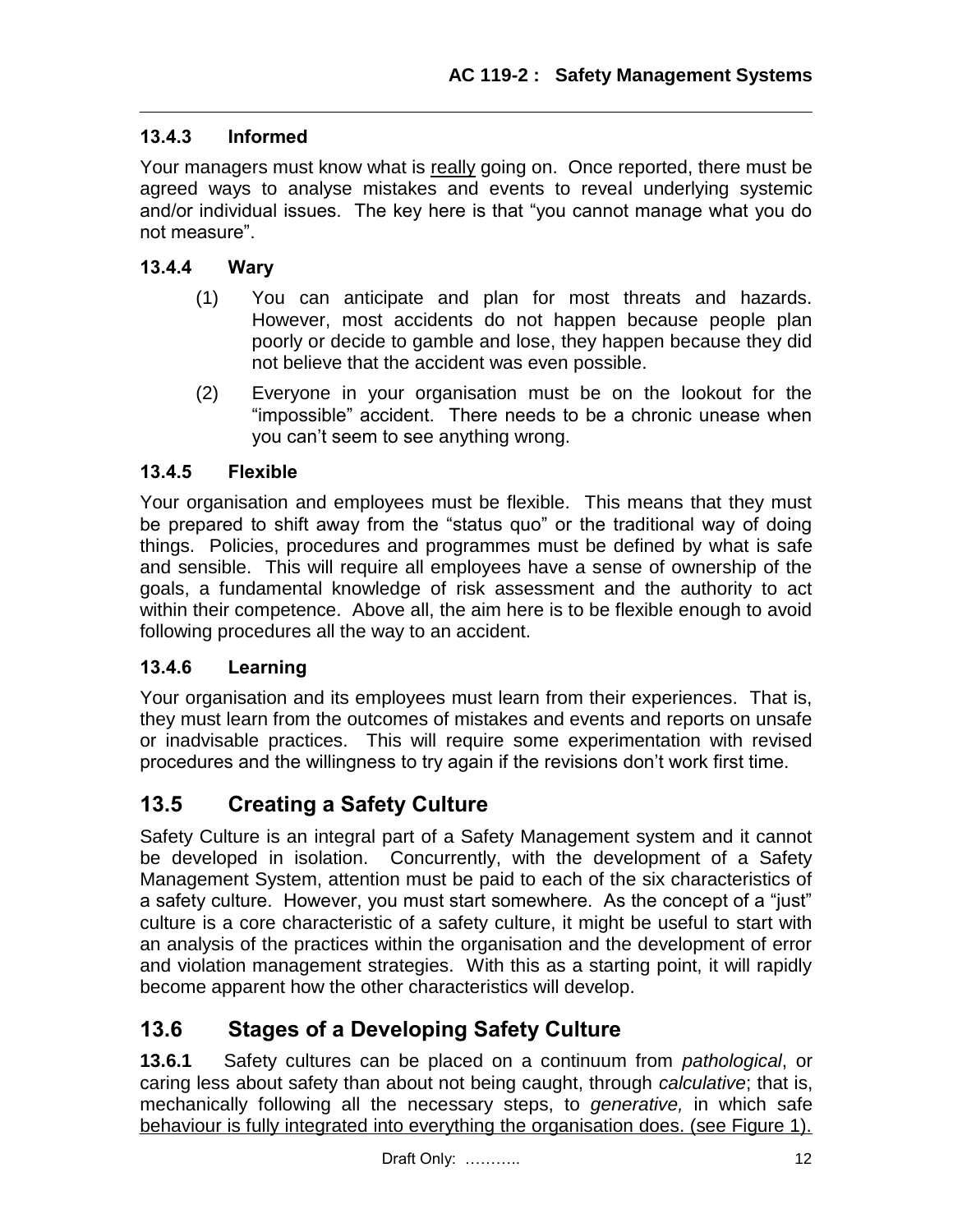### **13.4.3 Informed**

Your managers must know what is really going on. Once reported, there must be agreed ways to analyse mistakes and events to reveal underlying systemic and/or individual issues. The key here is that "you cannot manage what you do not measure".

### **13.4.4 Wary**

- (1) You can anticipate and plan for most threats and hazards. However, most accidents do not happen because people plan poorly or decide to gamble and lose, they happen because they did not believe that the accident was even possible.
- (2) Everyone in your organisation must be on the lookout for the "impossible" accident. There needs to be a chronic unease when you can't seem to see anything wrong.

### **13.4.5 Flexible**

Your organisation and employees must be flexible. This means that they must be prepared to shift away from the "status quo" or the traditional way of doing things. Policies, procedures and programmes must be defined by what is safe and sensible. This will require all employees have a sense of ownership of the goals, a fundamental knowledge of risk assessment and the authority to act within their competence. Above all, the aim here is to be flexible enough to avoid following procedures all the way to an accident.

### **13.4.6 Learning**

Your organisation and its employees must learn from their experiences. That is, they must learn from the outcomes of mistakes and events and reports on unsafe or inadvisable practices. This will require some experimentation with revised procedures and the willingness to try again if the revisions don't work first time.

## **13.5 Creating a Safety Culture**

Safety Culture is an integral part of a Safety Management system and it cannot be developed in isolation. Concurrently, with the development of a Safety Management System, attention must be paid to each of the six characteristics of a safety culture. However, you must start somewhere. As the concept of a "just" culture is a core characteristic of a safety culture, it might be useful to start with an analysis of the practices within the organisation and the development of error and violation management strategies. With this as a starting point, it will rapidly become apparent how the other characteristics will develop.

## **13.6 Stages of a Developing Safety Culture**

**13.6.1** Safety cultures can be placed on a continuum from *pathological*, or caring less about safety than about not being caught, through *calculative*; that is, mechanically following all the necessary steps, to *generative,* in which safe behaviour is fully integrated into everything the organisation does. (see Figure 1).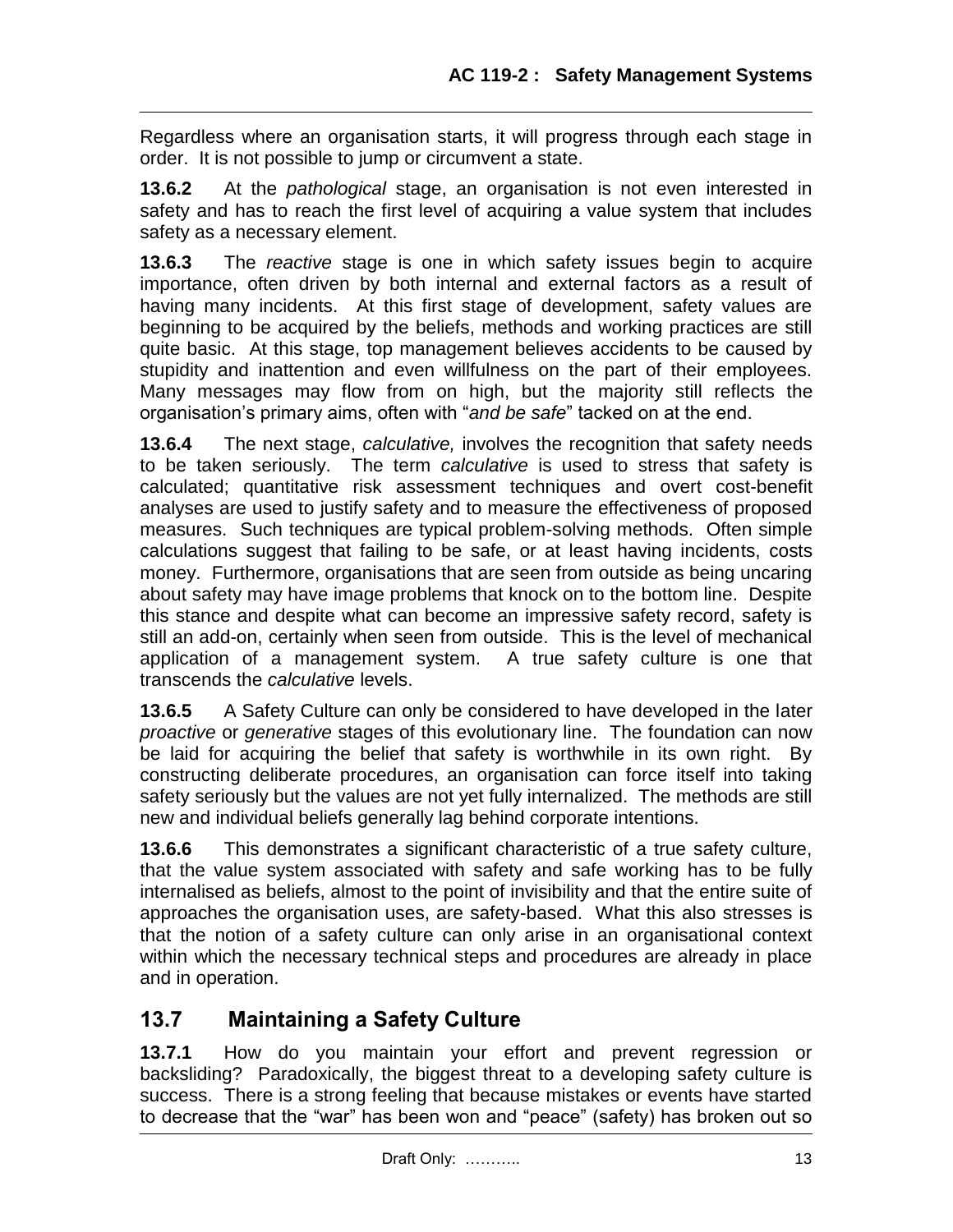Regardless where an organisation starts, it will progress through each stage in order. It is not possible to jump or circumvent a state.

**13.6.2** At the *pathological* stage, an organisation is not even interested in safety and has to reach the first level of acquiring a value system that includes safety as a necessary element.

**13.6.3** The *reactive* stage is one in which safety issues begin to acquire importance, often driven by both internal and external factors as a result of having many incidents. At this first stage of development, safety values are beginning to be acquired by the beliefs, methods and working practices are still quite basic. At this stage, top management believes accidents to be caused by stupidity and inattention and even willfulness on the part of their employees. Many messages may flow from on high, but the majority still reflects the organisation's primary aims, often with "*and be safe*" tacked on at the end.

**13.6.4** The next stage, *calculative,* involves the recognition that safety needs to be taken seriously. The term *calculative* is used to stress that safety is calculated; quantitative risk assessment techniques and overt cost-benefit analyses are used to justify safety and to measure the effectiveness of proposed measures. Such techniques are typical problem-solving methods. Often simple calculations suggest that failing to be safe, or at least having incidents, costs money. Furthermore, organisations that are seen from outside as being uncaring about safety may have image problems that knock on to the bottom line. Despite this stance and despite what can become an impressive safety record, safety is still an add-on, certainly when seen from outside. This is the level of mechanical application of a management system. A true safety culture is one that transcends the *calculative* levels.

**13.6.5** A Safety Culture can only be considered to have developed in the later *proactive* or *generative* stages of this evolutionary line. The foundation can now be laid for acquiring the belief that safety is worthwhile in its own right. By constructing deliberate procedures, an organisation can force itself into taking safety seriously but the values are not yet fully internalized. The methods are still new and individual beliefs generally lag behind corporate intentions.

**13.6.6** This demonstrates a significant characteristic of a true safety culture, that the value system associated with safety and safe working has to be fully internalised as beliefs, almost to the point of invisibility and that the entire suite of approaches the organisation uses, are safety-based. What this also stresses is that the notion of a safety culture can only arise in an organisational context within which the necessary technical steps and procedures are already in place and in operation.

# **13.7 Maintaining a Safety Culture**

**13.7.1** How do you maintain your effort and prevent regression or backsliding? Paradoxically, the biggest threat to a developing safety culture is success. There is a strong feeling that because mistakes or events have started to decrease that the "war" has been won and "peace" (safety) has broken out so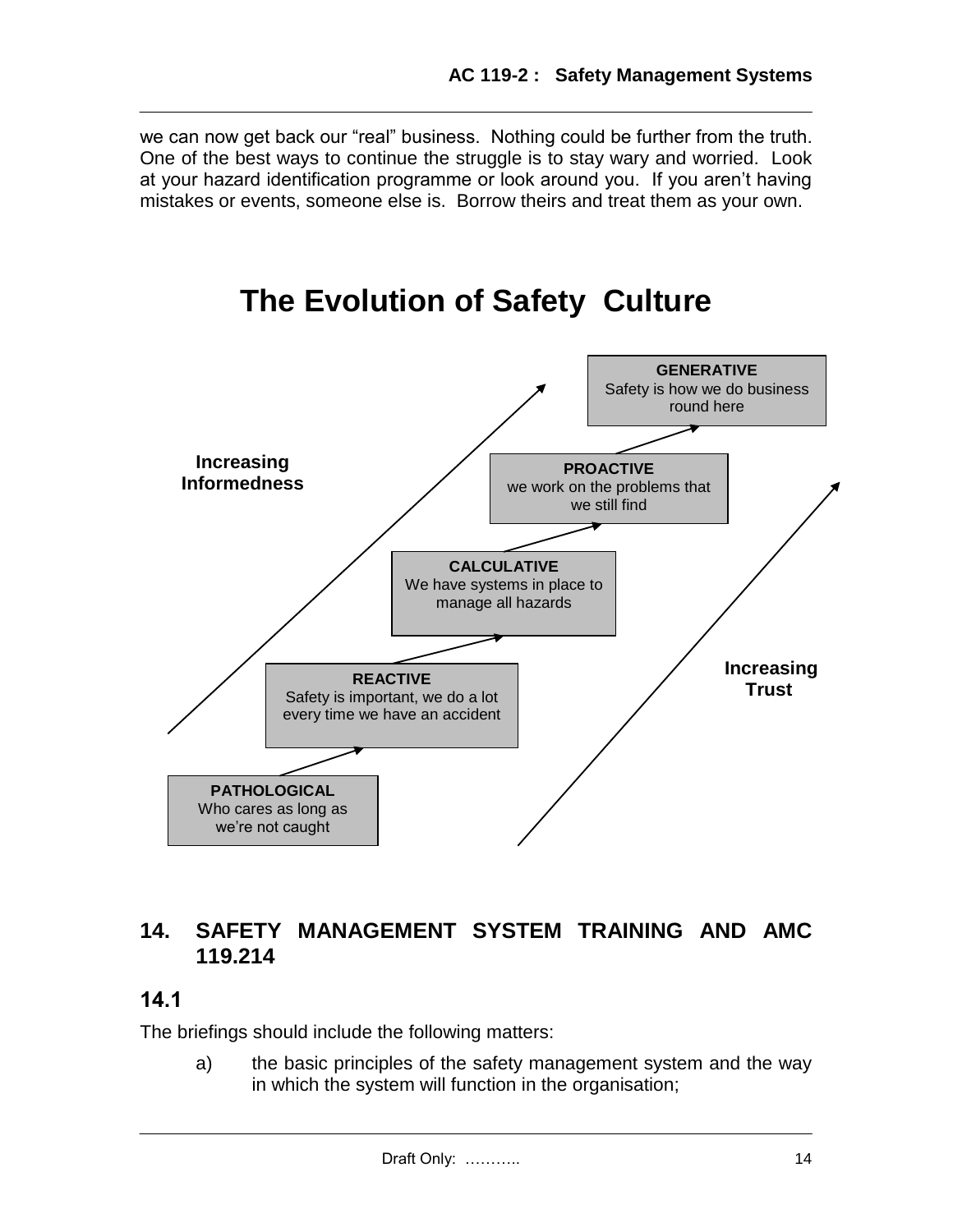we can now get back our "real" business. Nothing could be further from the truth. One of the best ways to continue the struggle is to stay wary and worried. Look at your hazard identification programme or look around you. If you aren't having mistakes or events, someone else is. Borrow theirs and treat them as your own.

# **The Evolution of Safety Culture**



## **14. SAFETY MANAGEMENT SYSTEM TRAINING AND AMC 119.214**

## **14.1**

The briefings should include the following matters:

a) the basic principles of the safety management system and the way in which the system will function in the organisation;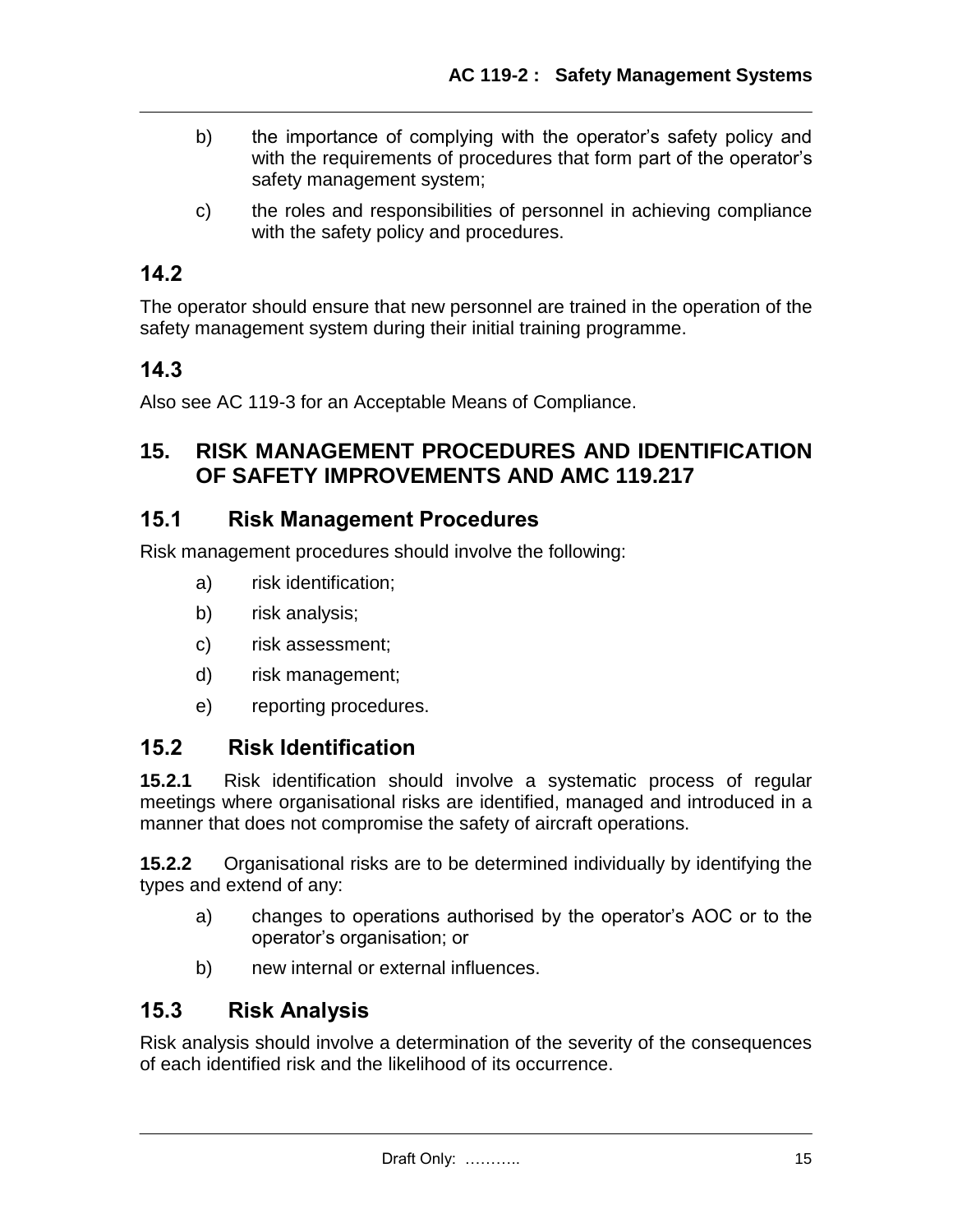- b) the importance of complying with the operator's safety policy and with the requirements of procedures that form part of the operator's safety management system;
- c) the roles and responsibilities of personnel in achieving compliance with the safety policy and procedures.

## **14.2**

The operator should ensure that new personnel are trained in the operation of the safety management system during their initial training programme.

## **14.3**

Also see AC 119-3 for an Acceptable Means of Compliance.

### **15. RISK MANAGEMENT PROCEDURES AND IDENTIFICATION OF SAFETY IMPROVEMENTS AND AMC 119.217**

### **15.1 Risk Management Procedures**

Risk management procedures should involve the following:

- a) risk identification;
- b) risk analysis;
- c) risk assessment;
- d) risk management;
- e) reporting procedures.

## **15.2 Risk Identification**

**15.2.1** Risk identification should involve a systematic process of regular meetings where organisational risks are identified, managed and introduced in a manner that does not compromise the safety of aircraft operations.

**15.2.2** Organisational risks are to be determined individually by identifying the types and extend of any:

- a) changes to operations authorised by the operator's AOC or to the operator's organisation; or
- b) new internal or external influences.

## **15.3 Risk Analysis**

Risk analysis should involve a determination of the severity of the consequences of each identified risk and the likelihood of its occurrence.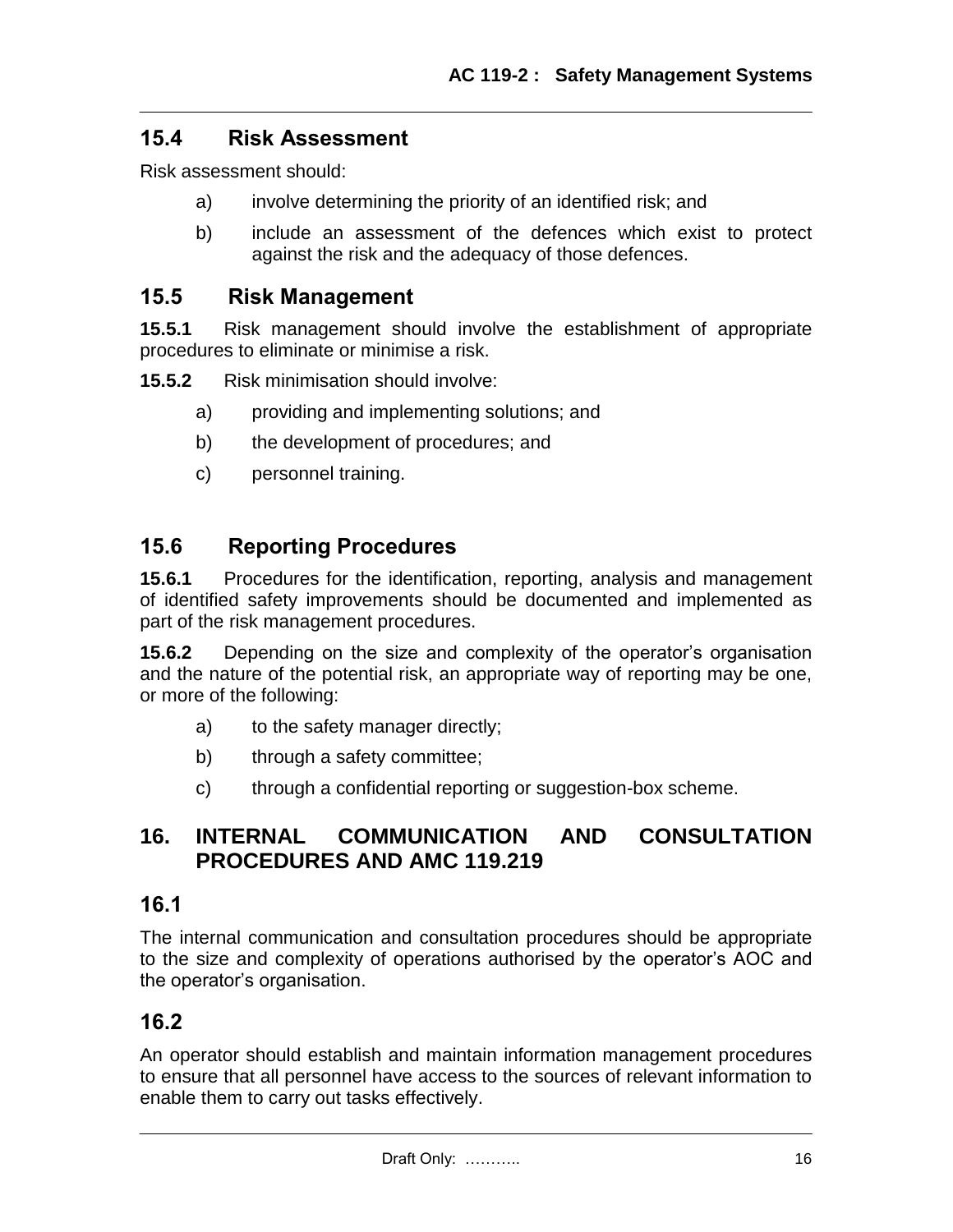## **15.4 Risk Assessment**

Risk assessment should:

- a) involve determining the priority of an identified risk; and
- b) include an assessment of the defences which exist to protect against the risk and the adequacy of those defences.

### **15.5 Risk Management**

**15.5.1** Risk management should involve the establishment of appropriate procedures to eliminate or minimise a risk.

**15.5.2** Risk minimisation should involve:

- a) providing and implementing solutions; and
- b) the development of procedures; and
- c) personnel training.

## **15.6 Reporting Procedures**

**15.6.1** Procedures for the identification, reporting, analysis and management of identified safety improvements should be documented and implemented as part of the risk management procedures.

**15.6.2** Depending on the size and complexity of the operator's organisation and the nature of the potential risk, an appropriate way of reporting may be one, or more of the following:

- a) to the safety manager directly;
- b) through a safety committee;
- c) through a confidential reporting or suggestion-box scheme.

## **16. INTERNAL COMMUNICATION AND CONSULTATION PROCEDURES AND AMC 119.219**

### **16.1**

The internal communication and consultation procedures should be appropriate to the size and complexity of operations authorised by the operator's AOC and the operator's organisation.

### **16.2**

An operator should establish and maintain information management procedures to ensure that all personnel have access to the sources of relevant information to enable them to carry out tasks effectively.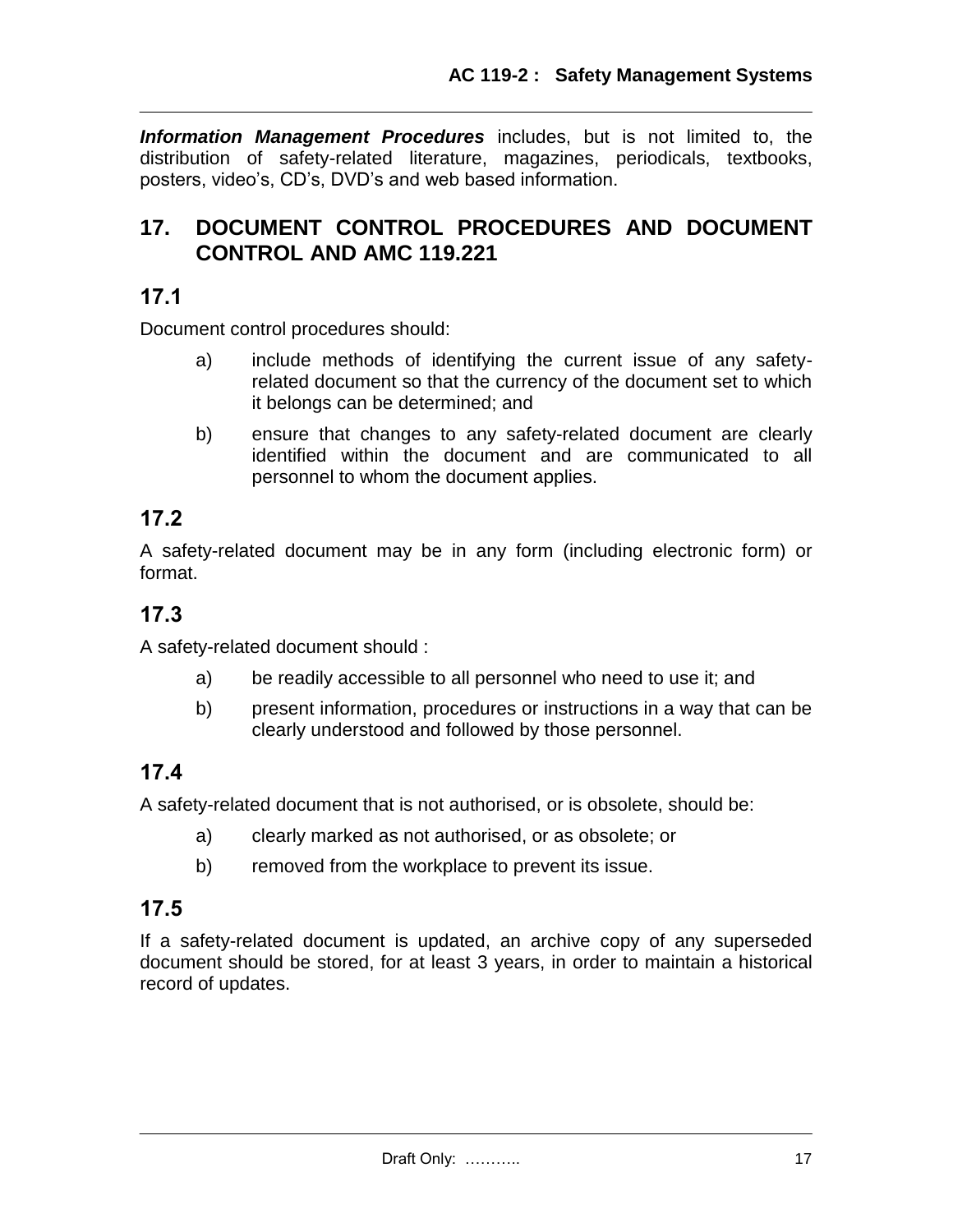*Information Management Procedures* includes, but is not limited to, the distribution of safety-related literature, magazines, periodicals, textbooks, posters, video's, CD's, DVD's and web based information.

## **17. DOCUMENT CONTROL PROCEDURES AND DOCUMENT CONTROL AND AMC 119.221**

## **17.1**

Document control procedures should:

- a) include methods of identifying the current issue of any safetyrelated document so that the currency of the document set to which it belongs can be determined; and
- b) ensure that changes to any safety-related document are clearly identified within the document and are communicated to all personnel to whom the document applies.

## **17.2**

A safety-related document may be in any form (including electronic form) or format.

## **17.3**

A safety-related document should :

- a) be readily accessible to all personnel who need to use it; and
- b) present information, procedures or instructions in a way that can be clearly understood and followed by those personnel.

# **17.4**

A safety-related document that is not authorised, or is obsolete, should be:

- a) clearly marked as not authorised, or as obsolete; or
- b) removed from the workplace to prevent its issue.

## **17.5**

If a safety-related document is updated, an archive copy of any superseded document should be stored, for at least 3 years, in order to maintain a historical record of updates.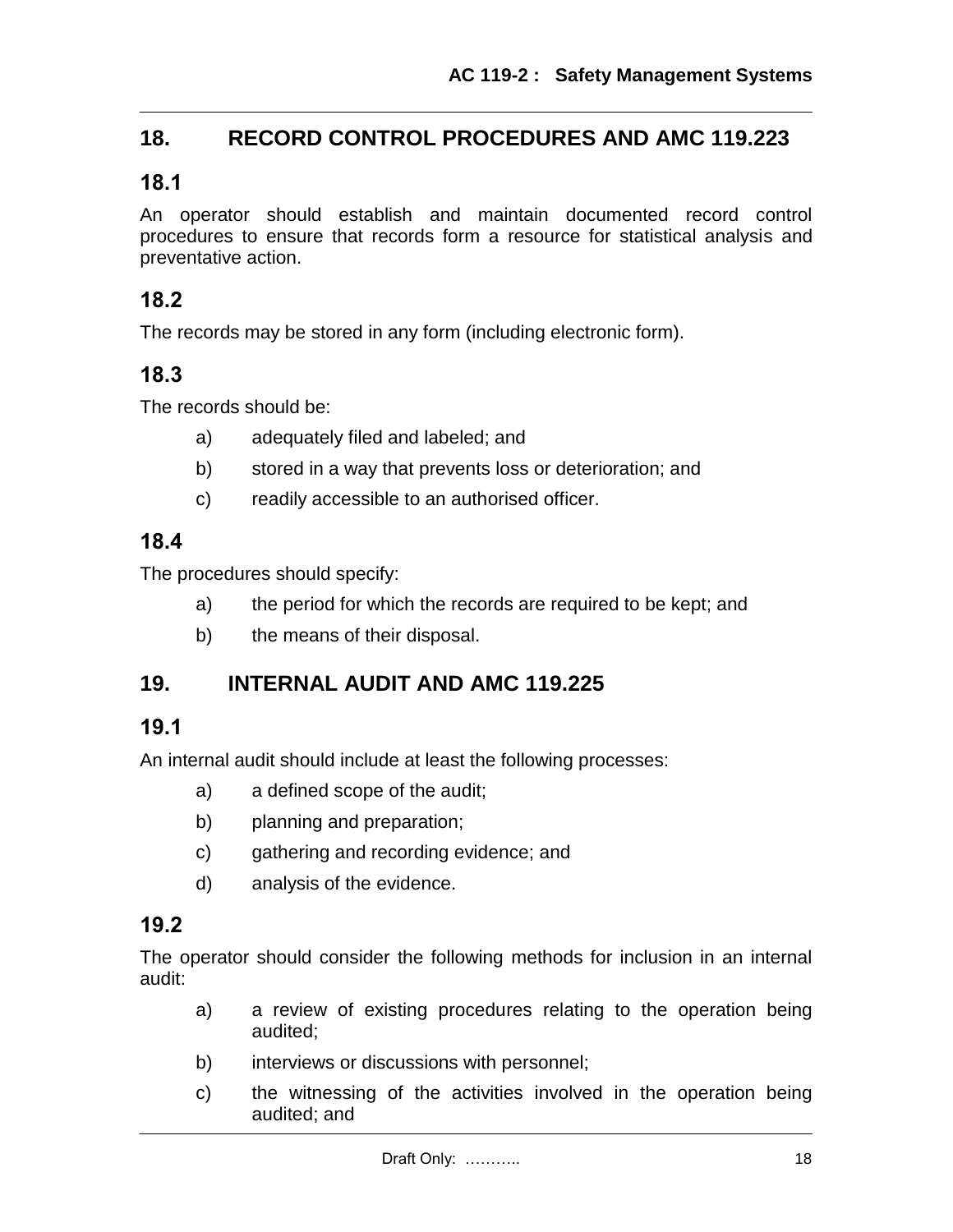## **18. RECORD CONTROL PROCEDURES AND AMC 119.223**

### **18.1**

An operator should establish and maintain documented record control procedures to ensure that records form a resource for statistical analysis and preventative action.

### **18.2**

The records may be stored in any form (including electronic form).

### **18.3**

The records should be:

- a) adequately filed and labeled; and
- b) stored in a way that prevents loss or deterioration; and
- c) readily accessible to an authorised officer.

### **18.4**

The procedures should specify:

- a) the period for which the records are required to be kept; and
- b) the means of their disposal.

## **19. INTERNAL AUDIT AND AMC 119.225**

### **19.1**

An internal audit should include at least the following processes:

- a) a defined scope of the audit;
- b) planning and preparation;
- c) gathering and recording evidence; and
- d) analysis of the evidence.

### **19.2**

The operator should consider the following methods for inclusion in an internal audit:

- a) a review of existing procedures relating to the operation being audited;
- b) interviews or discussions with personnel;
- c) the witnessing of the activities involved in the operation being audited; and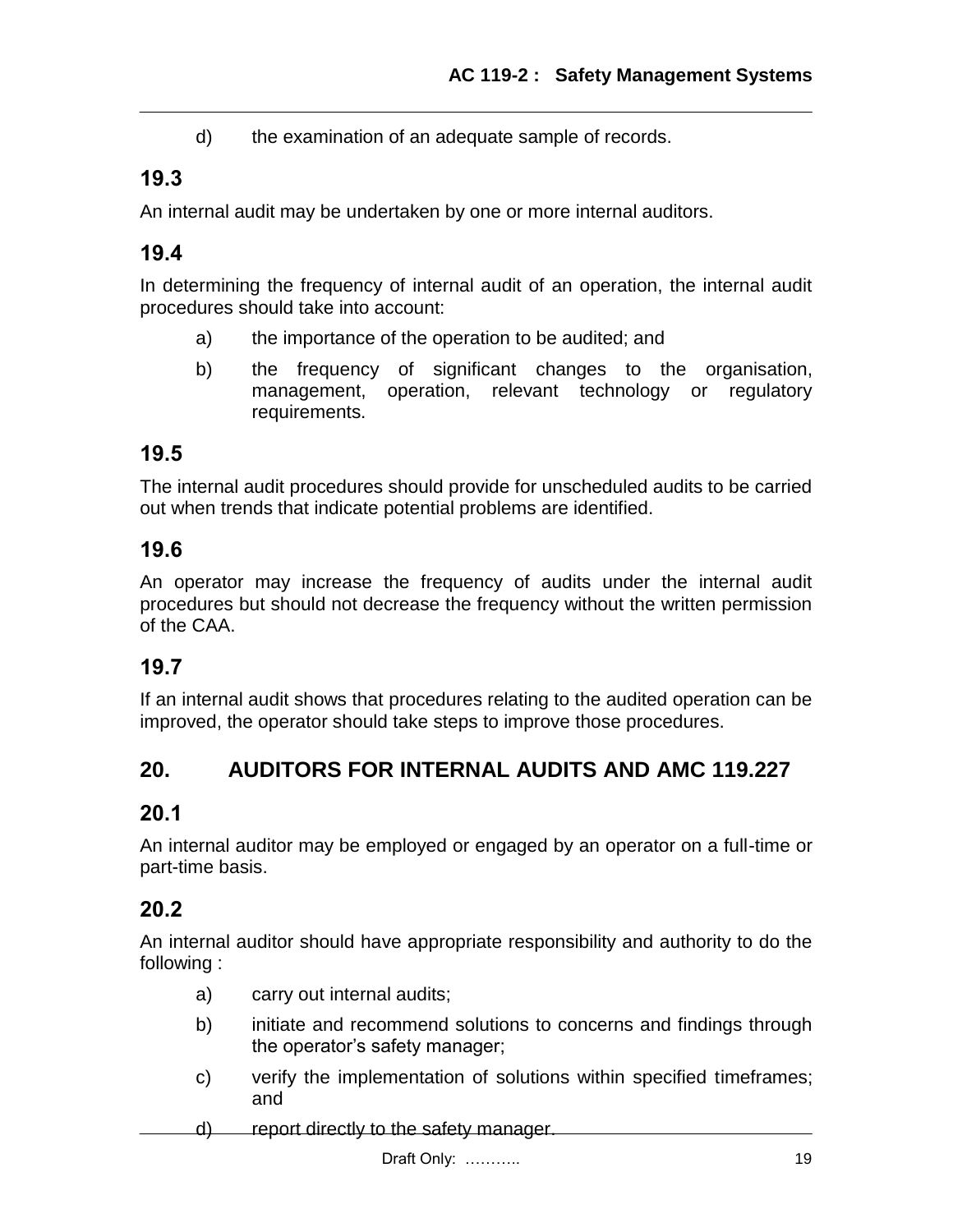d) the examination of an adequate sample of records.

## **19.3**

An internal audit may be undertaken by one or more internal auditors.

## **19.4**

In determining the frequency of internal audit of an operation, the internal audit procedures should take into account:

- a) the importance of the operation to be audited; and
- b) the frequency of significant changes to the organisation, management, operation, relevant technology or regulatory requirements.

## **19.5**

The internal audit procedures should provide for unscheduled audits to be carried out when trends that indicate potential problems are identified.

## **19.6**

An operator may increase the frequency of audits under the internal audit procedures but should not decrease the frequency without the written permission of the CAA.

## **19.7**

If an internal audit shows that procedures relating to the audited operation can be improved, the operator should take steps to improve those procedures.

# **20. AUDITORS FOR INTERNAL AUDITS AND AMC 119.227**

# **20.1**

An internal auditor may be employed or engaged by an operator on a full-time or part-time basis.

## **20.2**

An internal auditor should have appropriate responsibility and authority to do the following :

- a) carry out internal audits;
- b) initiate and recommend solutions to concerns and findings through the operator's safety manager;
- c) verify the implementation of solutions within specified timeframes; and
- d) report directly to the safety manager.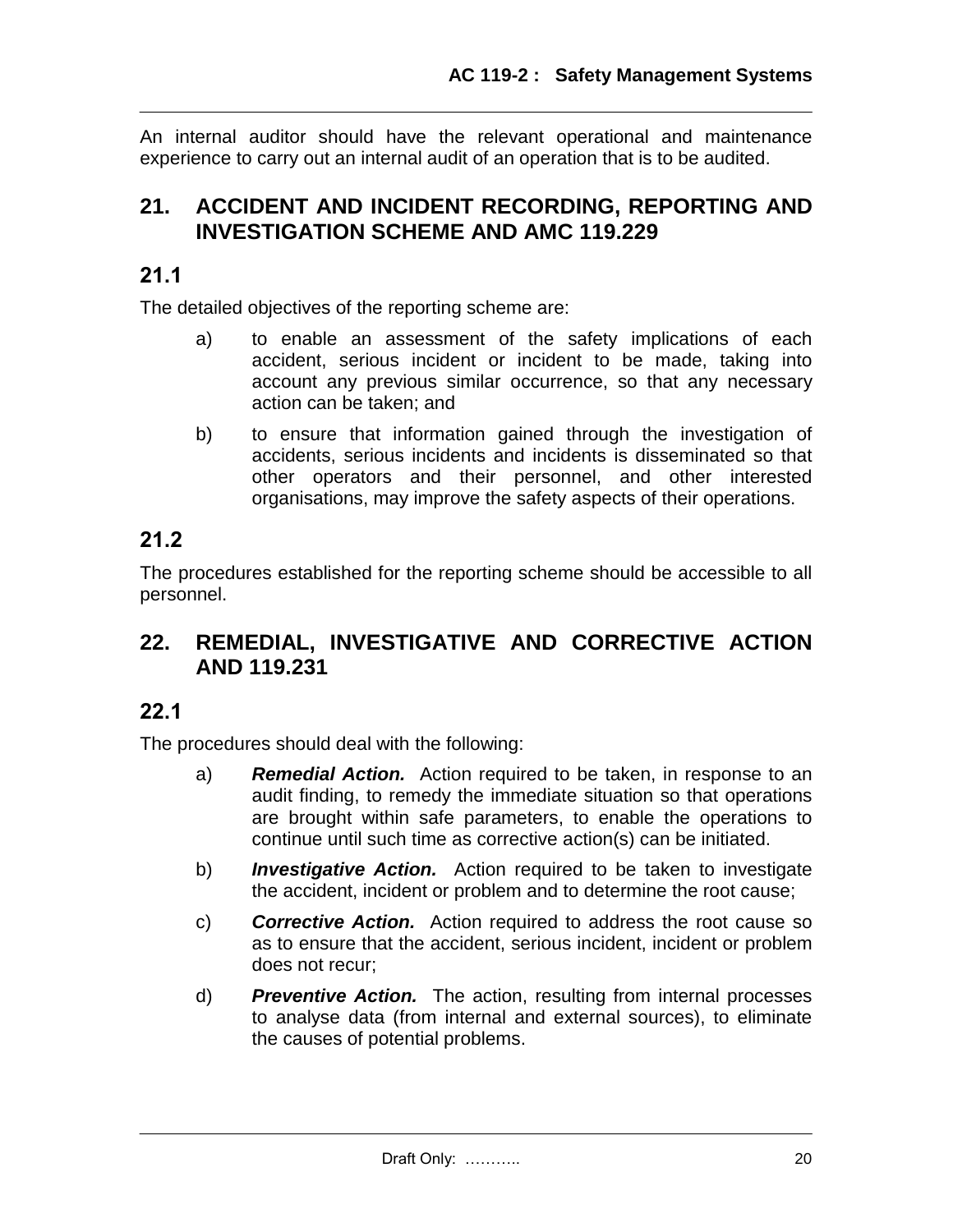An internal auditor should have the relevant operational and maintenance experience to carry out an internal audit of an operation that is to be audited.

## **21. ACCIDENT AND INCIDENT RECORDING, REPORTING AND INVESTIGATION SCHEME AND AMC 119.229**

### **21.1**

The detailed objectives of the reporting scheme are:

- a) to enable an assessment of the safety implications of each accident, serious incident or incident to be made, taking into account any previous similar occurrence, so that any necessary action can be taken; and
- b) to ensure that information gained through the investigation of accidents, serious incidents and incidents is disseminated so that other operators and their personnel, and other interested organisations, may improve the safety aspects of their operations.

# **21.2**

The procedures established for the reporting scheme should be accessible to all personnel.

## **22. REMEDIAL, INVESTIGATIVE AND CORRECTIVE ACTION AND 119.231**

### **22.1**

The procedures should deal with the following:

- a) *Remedial Action.* Action required to be taken, in response to an audit finding, to remedy the immediate situation so that operations are brought within safe parameters, to enable the operations to continue until such time as corrective action(s) can be initiated.
- b) *Investigative Action.* Action required to be taken to investigate the accident, incident or problem and to determine the root cause;
- c) *Corrective Action.* Action required to address the root cause so as to ensure that the accident, serious incident, incident or problem does not recur;
- d) *Preventive Action.* The action, resulting from internal processes to analyse data (from internal and external sources), to eliminate the causes of potential problems.